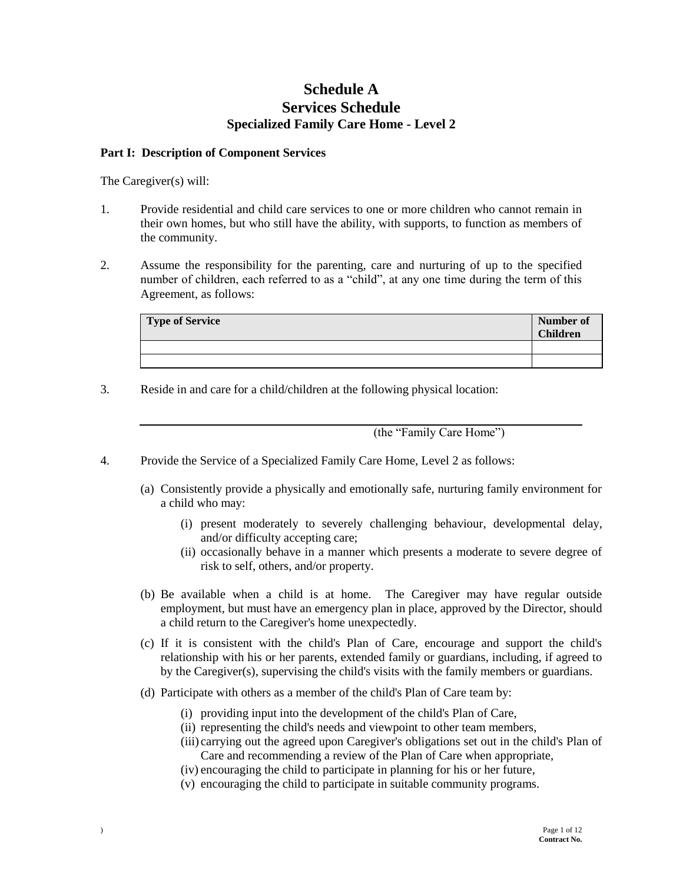## **Schedule A Services Schedule Specialized Family Care Home - Level 2**

#### **Part I: Description of Component Services**

The Caregiver(s) will:

- 1. Provide residential and child care services to one or more children who cannot remain in their own homes, but who still have the ability, with supports, to function as members of the community.
- 2. Assume the responsibility for the parenting, care and nurturing of up to the specified number of children, each referred to as a "child", at any one time during the term of this Agreement, as follows:

| <b>Type of Service</b> | Number of<br><b>Children</b> |
|------------------------|------------------------------|
|                        |                              |
|                        |                              |

3. Reside in and care for a child/children at the following physical location:

(the "Family Care Home")

- 4. Provide the Service of a Specialized Family Care Home, Level 2 as follows:
	- (a) Consistently provide a physically and emotionally safe, nurturing family environment for a child who may:
		- (i) present moderately to severely challenging behaviour, developmental delay, and/or difficulty accepting care;
		- (ii) occasionally behave in a manner which presents a moderate to severe degree of risk to self, others, and/or property.
	- (b) Be available when a child is at home. The Caregiver may have regular outside employment, but must have an emergency plan in place, approved by the Director, should a child return to the Caregiver's home unexpectedly.
	- (c) If it is consistent with the child's Plan of Care, encourage and support the child's relationship with his or her parents, extended family or guardians, including, if agreed to by the Caregiver(s), supervising the child's visits with the family members or guardians.
	- (d) Participate with others as a member of the child's Plan of Care team by:
		- (i) providing input into the development of the child's Plan of Care,
		- (ii) representing the child's needs and viewpoint to other team members,
		- (iii) carrying out the agreed upon Caregiver's obligations set out in the child's Plan of Care and recommending a review of the Plan of Care when appropriate,
		- (iv) encouraging the child to participate in planning for his or her future,
		- (v) encouraging the child to participate in suitable community programs.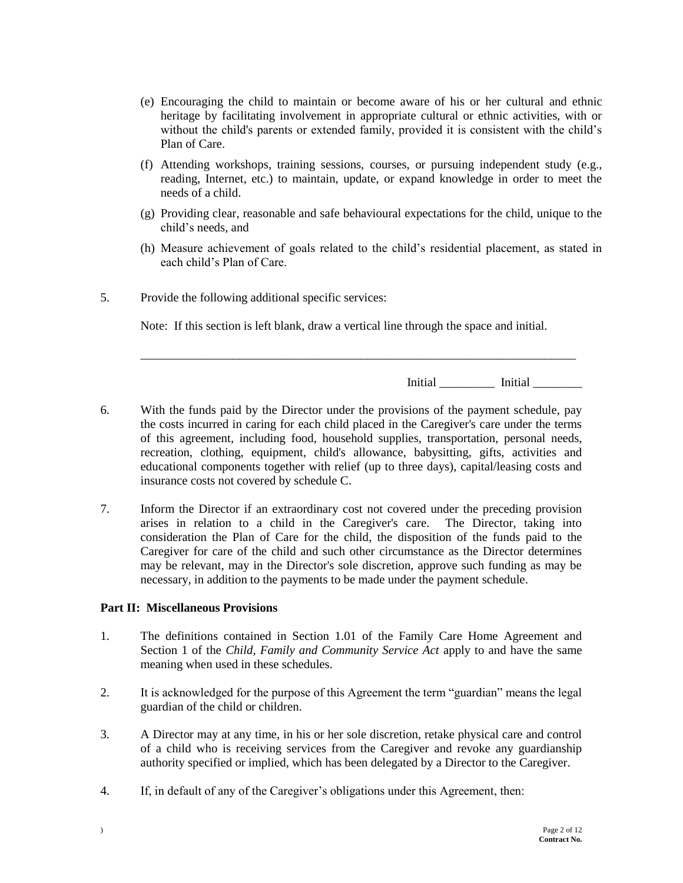- (e) Encouraging the child to maintain or become aware of his or her cultural and ethnic heritage by facilitating involvement in appropriate cultural or ethnic activities, with or without the child's parents or extended family, provided it is consistent with the child's Plan of Care.
- (f) Attending workshops, training sessions, courses, or pursuing independent study (e.g., reading, Internet, etc.) to maintain, update, or expand knowledge in order to meet the needs of a child.
- (g) Providing clear, reasonable and safe behavioural expectations for the child, unique to the child's needs, and
- (h) Measure achievement of goals related to the child's residential placement, as stated in each child's Plan of Care.
- 5. Provide the following additional specific services:

Note: If this section is left blank, draw a vertical line through the space and initial.

\_\_\_\_\_\_\_\_\_\_\_\_\_\_\_\_\_\_\_\_\_\_\_\_\_\_\_\_\_\_\_\_\_\_\_\_\_\_\_\_\_\_\_\_\_\_\_\_\_\_\_\_\_\_\_\_\_\_\_\_\_\_\_\_\_\_\_\_\_\_\_

Initial Little Little Little Little Little Little Little Little Little Little Little Little Little Little Litt

- 6. With the funds paid by the Director under the provisions of the payment schedule, pay the costs incurred in caring for each child placed in the Caregiver's care under the terms of this agreement, including food, household supplies, transportation, personal needs, recreation, clothing, equipment, child's allowance, babysitting, gifts, activities and educational components together with relief (up to three days), capital/leasing costs and insurance costs not covered by schedule C.
- 7. Inform the Director if an extraordinary cost not covered under the preceding provision arises in relation to a child in the Caregiver's care. The Director, taking into consideration the Plan of Care for the child, the disposition of the funds paid to the Caregiver for care of the child and such other circumstance as the Director determines may be relevant, may in the Director's sole discretion, approve such funding as may be necessary, in addition to the payments to be made under the payment schedule.

#### **Part II: Miscellaneous Provisions**

- 1. The definitions contained in Section 1.01 of the Family Care Home Agreement and Section 1 of the *Child, Family and Community Service Act* apply to and have the same meaning when used in these schedules.
- 2. It is acknowledged for the purpose of this Agreement the term "guardian" means the legal guardian of the child or children.
- 3. A Director may at any time, in his or her sole discretion, retake physical care and control of a child who is receiving services from the Caregiver and revoke any guardianship authority specified or implied, which has been delegated by a Director to the Caregiver.
- 4. If, in default of any of the Caregiver's obligations under this Agreement, then: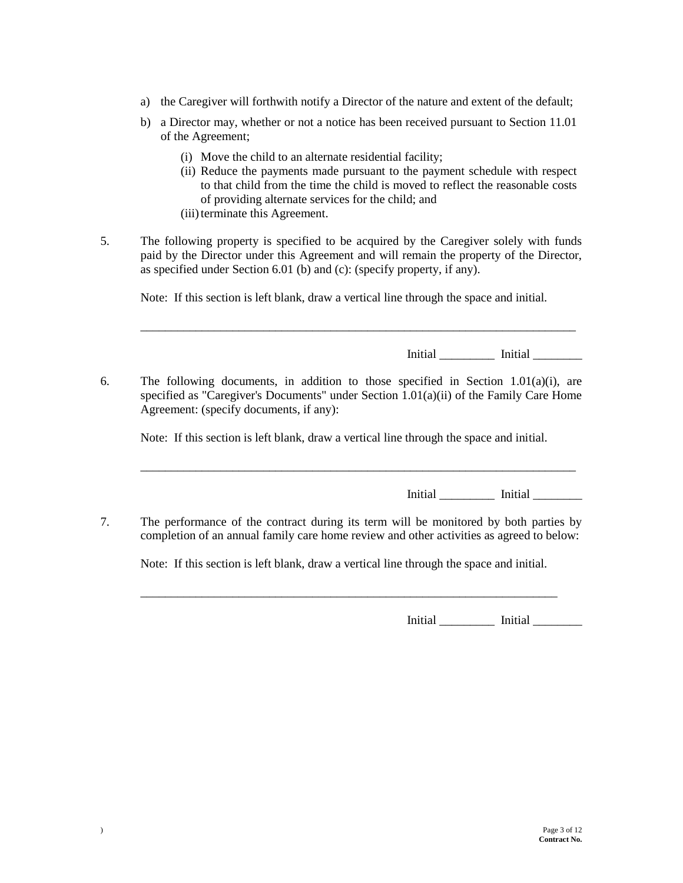- a) the Caregiver will forthwith notify a Director of the nature and extent of the default;
- b) a Director may, whether or not a notice has been received pursuant to Section 11.01 of the Agreement;
	- (i) Move the child to an alternate residential facility;
	- (ii) Reduce the payments made pursuant to the payment schedule with respect to that child from the time the child is moved to reflect the reasonable costs of providing alternate services for the child; and
	- (iii) terminate this Agreement.
- 5. The following property is specified to be acquired by the Caregiver solely with funds paid by the Director under this Agreement and will remain the property of the Director, as specified under Section 6.01 (b) and (c): (specify property, if any).

Note: If this section is left blank, draw a vertical line through the space and initial.

\_\_\_\_\_\_\_\_\_\_\_\_\_\_\_\_\_\_\_\_\_\_\_\_\_\_\_\_\_\_\_\_\_\_\_\_\_\_\_\_\_\_\_\_\_\_\_\_\_\_\_\_\_\_\_\_\_\_\_\_\_\_\_\_\_\_\_\_\_\_\_

Initial \_\_\_\_\_\_\_\_\_ Initial \_\_\_\_\_\_\_\_

6. The following documents, in addition to those specified in Section 1.01(a)(i), are specified as "Caregiver's Documents" under Section 1.01(a)(ii) of the Family Care Home Agreement: (specify documents, if any):

Note: If this section is left blank, draw a vertical line through the space and initial.

\_\_\_\_\_\_\_\_\_\_\_\_\_\_\_\_\_\_\_\_\_\_\_\_\_\_\_\_\_\_\_\_\_\_\_\_\_\_\_\_\_\_\_\_\_\_\_\_\_\_\_\_\_\_\_\_\_\_\_\_\_\_\_\_\_\_\_\_\_\_\_

Initial \_\_\_\_\_\_\_\_\_ Initial \_\_\_\_\_\_\_\_

7. The performance of the contract during its term will be monitored by both parties by completion of an annual family care home review and other activities as agreed to below:

Note: If this section is left blank, draw a vertical line through the space and initial.

\_\_\_\_\_\_\_\_\_\_\_\_\_\_\_\_\_\_\_\_\_\_\_\_\_\_\_\_\_\_\_\_\_\_\_\_\_\_\_\_\_\_\_\_\_\_\_\_\_\_\_\_\_\_\_\_\_\_\_\_\_\_\_\_\_\_\_\_

Initial \_\_\_\_\_\_\_\_\_ Initial \_\_\_\_\_\_\_\_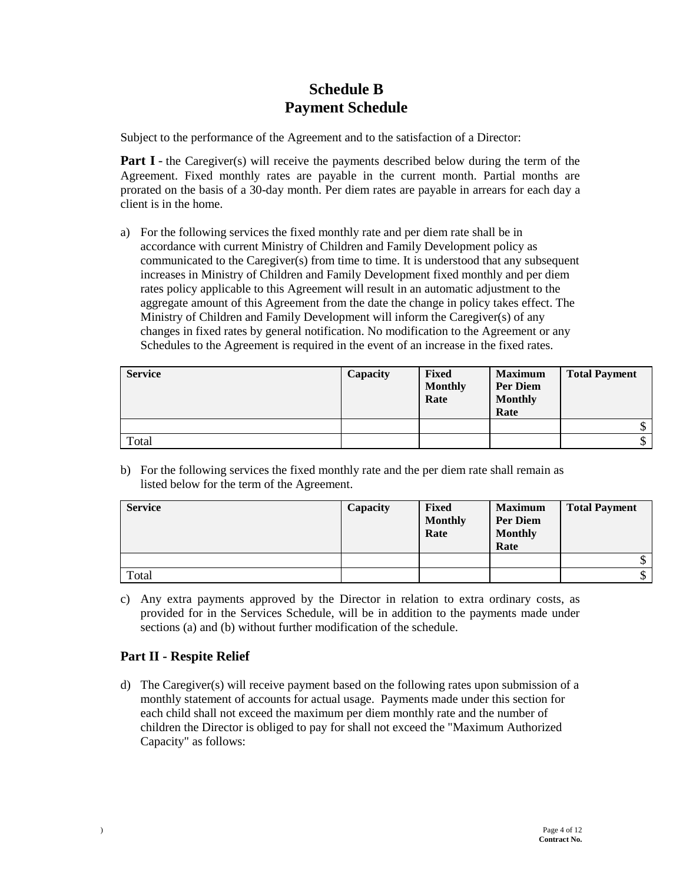# **Schedule B Payment Schedule**

Subject to the performance of the Agreement and to the satisfaction of a Director:

**Part I** - the Caregiver(s) will receive the payments described below during the term of the Agreement. Fixed monthly rates are payable in the current month. Partial months are prorated on the basis of a 30-day month. Per diem rates are payable in arrears for each day a client is in the home.

a) For the following services the fixed monthly rate and per diem rate shall be in accordance with current Ministry of Children and Family Development policy as communicated to the Caregiver(s) from time to time. It is understood that any subsequent increases in Ministry of Children and Family Development fixed monthly and per diem rates policy applicable to this Agreement will result in an automatic adjustment to the aggregate amount of this Agreement from the date the change in policy takes effect. The Ministry of Children and Family Development will inform the Caregiver(s) of any changes in fixed rates by general notification. No modification to the Agreement or any Schedules to the Agreement is required in the event of an increase in the fixed rates.

| <b>Service</b> | Capacity | Fixed<br><b>Monthly</b><br>Rate | <b>Maximum</b><br><b>Per Diem</b><br><b>Monthly</b><br>Rate | <b>Total Payment</b> |
|----------------|----------|---------------------------------|-------------------------------------------------------------|----------------------|
|                |          |                                 |                                                             | κD                   |
| Total          |          |                                 |                                                             | D                    |

b) For the following services the fixed monthly rate and the per diem rate shall remain as listed below for the term of the Agreement.

| <b>Service</b> | Capacity | <b>Fixed</b><br><b>Monthly</b><br>Rate | <b>Maximum</b><br><b>Per Diem</b><br><b>Monthly</b><br>Rate | <b>Total Payment</b> |
|----------------|----------|----------------------------------------|-------------------------------------------------------------|----------------------|
|                |          |                                        |                                                             | \$                   |
| Total          |          |                                        |                                                             | \$                   |

c) Any extra payments approved by the Director in relation to extra ordinary costs, as provided for in the Services Schedule, will be in addition to the payments made under sections (a) and (b) without further modification of the schedule.

## **Part II - Respite Relief**

d) The Caregiver(s) will receive payment based on the following rates upon submission of a monthly statement of accounts for actual usage. Payments made under this section for each child shall not exceed the maximum per diem monthly rate and the number of children the Director is obliged to pay for shall not exceed the "Maximum Authorized Capacity" as follows: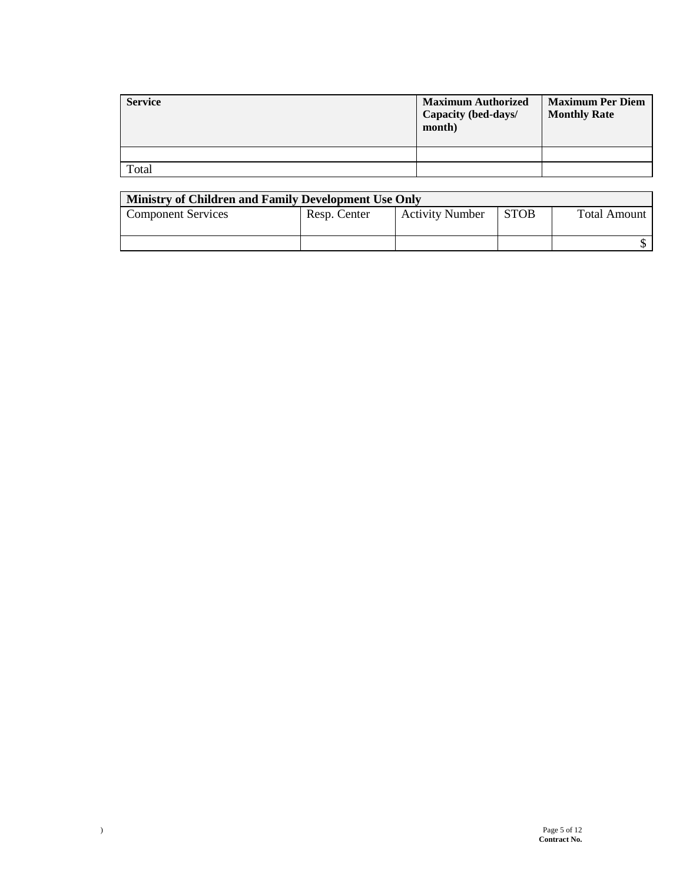| <b>Service</b> | <b>Maximum Authorized</b><br>Capacity (bed-days/<br>month) | <b>Maximum Per Diem</b><br><b>Monthly Rate</b> |
|----------------|------------------------------------------------------------|------------------------------------------------|
|                |                                                            |                                                |
| Total          |                                                            |                                                |

| Ministry of Children and Family Development Use Only |              |                        |             |              |
|------------------------------------------------------|--------------|------------------------|-------------|--------------|
| <b>Component Services</b>                            | Resp. Center | <b>Activity Number</b> | <b>STOB</b> | Total Amount |
|                                                      |              |                        |             |              |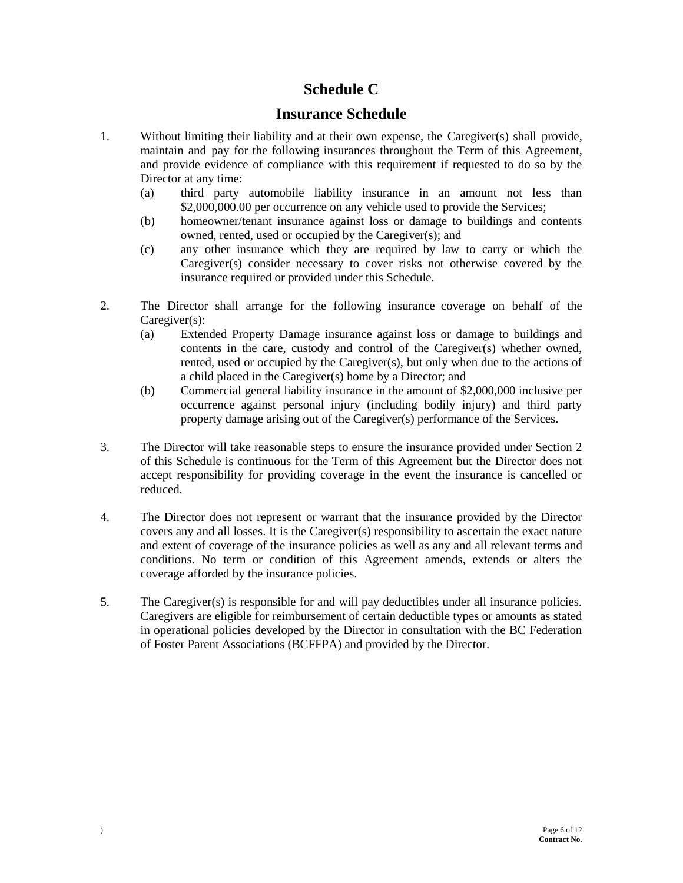# **Schedule C**

## **Insurance Schedule**

- 1. Without limiting their liability and at their own expense, the Caregiver(s) shall provide, maintain and pay for the following insurances throughout the Term of this Agreement, and provide evidence of compliance with this requirement if requested to do so by the Director at any time:
	- (a) third party automobile liability insurance in an amount not less than \$2,000,000.00 per occurrence on any vehicle used to provide the Services;
	- (b) homeowner/tenant insurance against loss or damage to buildings and contents owned, rented, used or occupied by the Caregiver(s); and
	- (c) any other insurance which they are required by law to carry or which the Caregiver(s) consider necessary to cover risks not otherwise covered by the insurance required or provided under this Schedule.
- 2. The Director shall arrange for the following insurance coverage on behalf of the Caregiver(s):
	- (a) Extended Property Damage insurance against loss or damage to buildings and contents in the care, custody and control of the Caregiver(s) whether owned, rented, used or occupied by the Caregiver(s), but only when due to the actions of a child placed in the Caregiver(s) home by a Director; and
	- (b) Commercial general liability insurance in the amount of \$2,000,000 inclusive per occurrence against personal injury (including bodily injury) and third party property damage arising out of the Caregiver(s) performance of the Services.
- 3. The Director will take reasonable steps to ensure the insurance provided under Section 2 of this Schedule is continuous for the Term of this Agreement but the Director does not accept responsibility for providing coverage in the event the insurance is cancelled or reduced.
- 4. The Director does not represent or warrant that the insurance provided by the Director covers any and all losses. It is the Caregiver(s) responsibility to ascertain the exact nature and extent of coverage of the insurance policies as well as any and all relevant terms and conditions. No term or condition of this Agreement amends, extends or alters the coverage afforded by the insurance policies.
- 5. The Caregiver(s) is responsible for and will pay deductibles under all insurance policies. Caregivers are eligible for reimbursement of certain deductible types or amounts as stated in operational policies developed by the Director in consultation with the BC Federation of Foster Parent Associations (BCFFPA) and provided by the Director.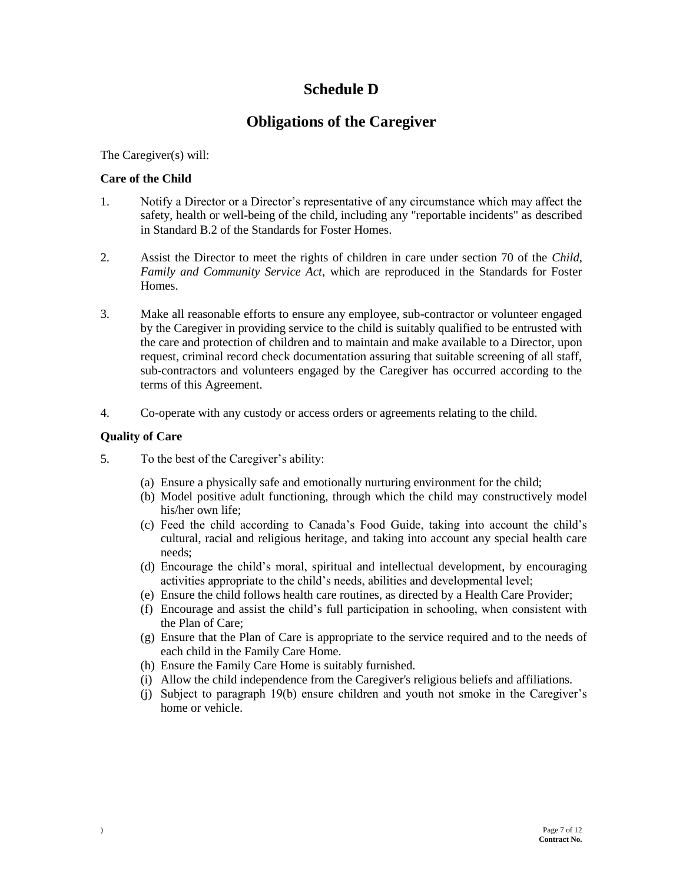# **Schedule D**

# **Obligations of the Caregiver**

The Caregiver(s) will:

### **Care of the Child**

- 1. Notify a Director or a Director's representative of any circumstance which may affect the safety, health or well-being of the child, including any "reportable incidents" as described in Standard B.2 of the Standards for Foster Homes.
- 2. Assist the Director to meet the rights of children in care under section 70 of the *Child, Family and Community Service Act,* which are reproduced in the Standards for Foster Homes.
- 3. Make all reasonable efforts to ensure any employee, sub-contractor or volunteer engaged by the Caregiver in providing service to the child is suitably qualified to be entrusted with the care and protection of children and to maintain and make available to a Director, upon request, criminal record check documentation assuring that suitable screening of all staff, sub-contractors and volunteers engaged by the Caregiver has occurred according to the terms of this Agreement.
- 4. Co-operate with any custody or access orders or agreements relating to the child.

### **Quality of Care**

- 5. To the best of the Caregiver's ability:
	- (a) Ensure a physically safe and emotionally nurturing environment for the child;
	- (b) Model positive adult functioning, through which the child may constructively model his/her own life;
	- (c) Feed the child according to Canada's Food Guide, taking into account the child's cultural, racial and religious heritage, and taking into account any special health care needs;
	- (d) Encourage the child's moral, spiritual and intellectual development, by encouraging activities appropriate to the child's needs, abilities and developmental level;
	- (e) Ensure the child follows health care routines, as directed by a Health Care Provider;
	- (f) Encourage and assist the child's full participation in schooling, when consistent with the Plan of Care;
	- (g) Ensure that the Plan of Care is appropriate to the service required and to the needs of each child in the Family Care Home.
	- (h) Ensure the Family Care Home is suitably furnished.
	- (i) Allow the child independence from the Caregiver's religious beliefs and affiliations.
	- (j) Subject to paragraph 19(b) ensure children and youth not smoke in the Caregiver's home or vehicle.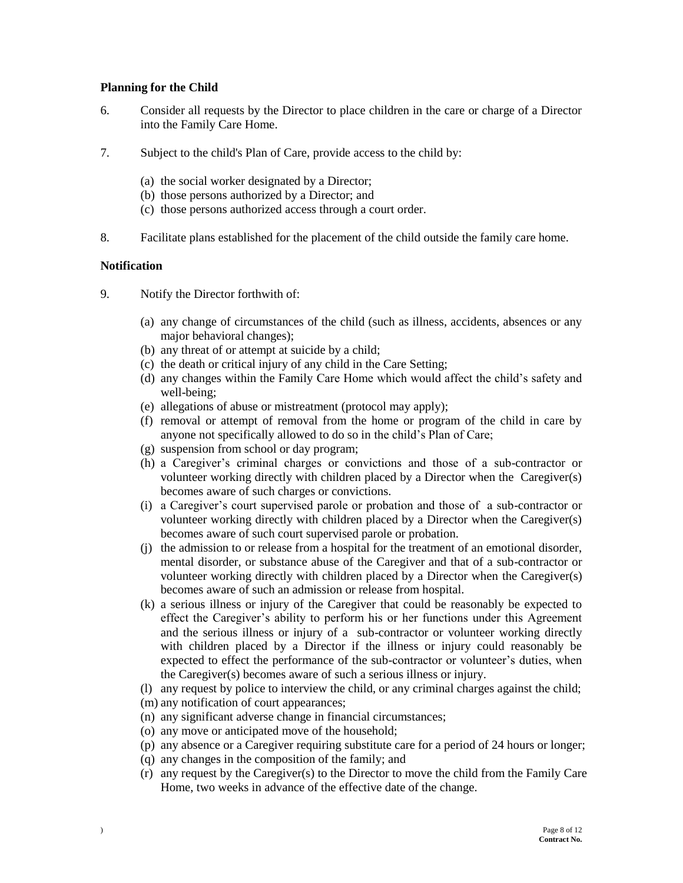#### **Planning for the Child**

- 6. Consider all requests by the Director to place children in the care or charge of a Director into the Family Care Home.
- 7. Subject to the child's Plan of Care, provide access to the child by:
	- (a) the social worker designated by a Director;
	- (b) those persons authorized by a Director; and
	- (c) those persons authorized access through a court order.
- 8. Facilitate plans established for the placement of the child outside the family care home.

#### **Notification**

- 9. Notify the Director forthwith of:
	- (a) any change of circumstances of the child (such as illness, accidents, absences or any major behavioral changes);
	- (b) any threat of or attempt at suicide by a child;
	- (c) the death or critical injury of any child in the Care Setting;
	- (d) any changes within the Family Care Home which would affect the child's safety and well-being;
	- (e) allegations of abuse or mistreatment (protocol may apply);
	- (f) removal or attempt of removal from the home or program of the child in care by anyone not specifically allowed to do so in the child's Plan of Care;
	- (g) suspension from school or day program;
	- (h) a Caregiver's criminal charges or convictions and those of a sub-contractor or volunteer working directly with children placed by a Director when the Caregiver(s) becomes aware of such charges or convictions.
	- (i) a Caregiver's court supervised parole or probation and those of a sub-contractor or volunteer working directly with children placed by a Director when the Caregiver(s) becomes aware of such court supervised parole or probation.
	- (j) the admission to or release from a hospital for the treatment of an emotional disorder, mental disorder, or substance abuse of the Caregiver and that of a sub-contractor or volunteer working directly with children placed by a Director when the Caregiver(s) becomes aware of such an admission or release from hospital.
	- (k) a serious illness or injury of the Caregiver that could be reasonably be expected to effect the Caregiver's ability to perform his or her functions under this Agreement and the serious illness or injury of a sub-contractor or volunteer working directly with children placed by a Director if the illness or injury could reasonably be expected to effect the performance of the sub-contractor or volunteer's duties, when the Caregiver(s) becomes aware of such a serious illness or injury.
	- (l) any request by police to interview the child, or any criminal charges against the child;
	- (m) any notification of court appearances;
	- (n) any significant adverse change in financial circumstances;
	- (o) any move or anticipated move of the household;
	- (p) any absence or a Caregiver requiring substitute care for a period of 24 hours or longer;
	- (q) any changes in the composition of the family; and
	- (r) any request by the Caregiver(s) to the Director to move the child from the Family Care Home, two weeks in advance of the effective date of the change.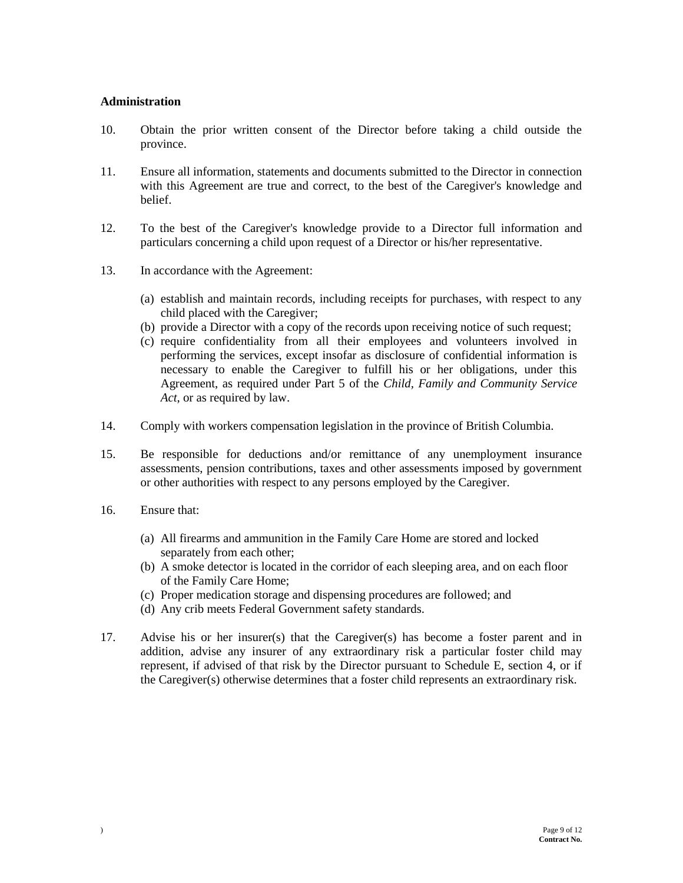#### **Administration**

- 10. Obtain the prior written consent of the Director before taking a child outside the province.
- 11. Ensure all information, statements and documents submitted to the Director in connection with this Agreement are true and correct, to the best of the Caregiver's knowledge and belief.
- 12. To the best of the Caregiver's knowledge provide to a Director full information and particulars concerning a child upon request of a Director or his/her representative.
- 13. In accordance with the Agreement:
	- (a) establish and maintain records, including receipts for purchases, with respect to any child placed with the Caregiver;
	- (b) provide a Director with a copy of the records upon receiving notice of such request;
	- (c) require confidentiality from all their employees and volunteers involved in performing the services, except insofar as disclosure of confidential information is necessary to enable the Caregiver to fulfill his or her obligations, under this Agreement, as required under Part 5 of the *Child, Family and Community Service Act*, or as required by law.
- 14. Comply with workers compensation legislation in the province of British Columbia.
- 15. Be responsible for deductions and/or remittance of any unemployment insurance assessments, pension contributions, taxes and other assessments imposed by government or other authorities with respect to any persons employed by the Caregiver.
- 16. Ensure that:
	- (a) All firearms and ammunition in the Family Care Home are stored and locked separately from each other;
	- (b) A smoke detector is located in the corridor of each sleeping area, and on each floor of the Family Care Home;
	- (c) Proper medication storage and dispensing procedures are followed; and
	- (d) Any crib meets Federal Government safety standards.
- 17. Advise his or her insurer(s) that the Caregiver(s) has become a foster parent and in addition, advise any insurer of any extraordinary risk a particular foster child may represent, if advised of that risk by the Director pursuant to Schedule E, section 4, or if the Caregiver(s) otherwise determines that a foster child represents an extraordinary risk.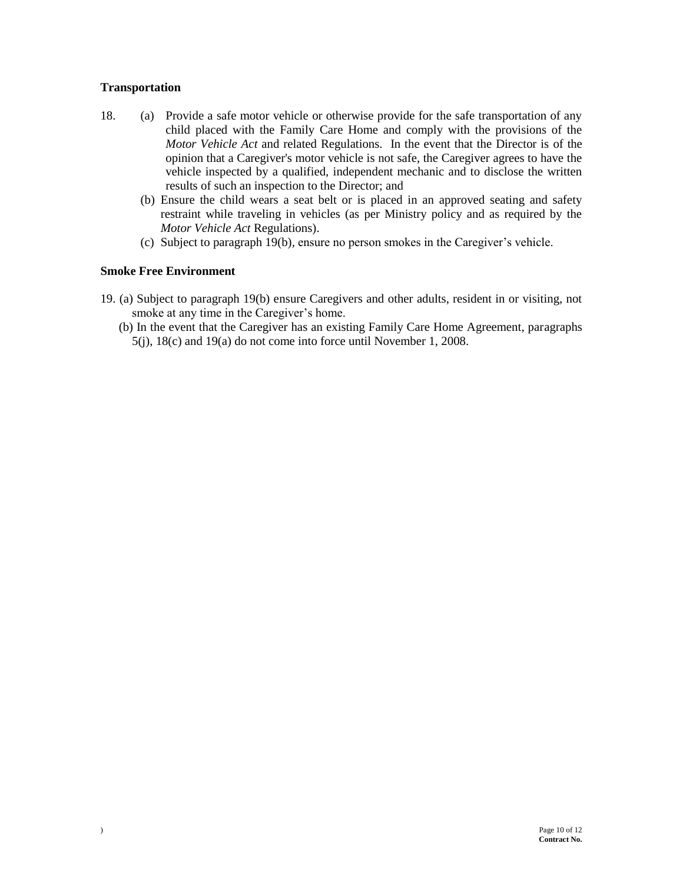### **Transportation**

- 18. (a) Provide a safe motor vehicle or otherwise provide for the safe transportation of any child placed with the Family Care Home and comply with the provisions of the *Motor Vehicle Act* and related Regulations. In the event that the Director is of the opinion that a Caregiver's motor vehicle is not safe, the Caregiver agrees to have the vehicle inspected by a qualified, independent mechanic and to disclose the written results of such an inspection to the Director; and
	- (b) Ensure the child wears a seat belt or is placed in an approved seating and safety restraint while traveling in vehicles (as per Ministry policy and as required by the *Motor Vehicle Act* Regulations).
	- (c) Subject to paragraph 19(b)*,* ensure no person smokes in the Caregiver's vehicle.

### **Smoke Free Environment**

- 19. (a) Subject to paragraph 19(b) ensure Caregivers and other adults, resident in or visiting, not smoke at any time in the Caregiver's home.
	- (b) In the event that the Caregiver has an existing Family Care Home Agreement, paragraphs 5(j), 18(c) and 19(a) do not come into force until November 1, 2008.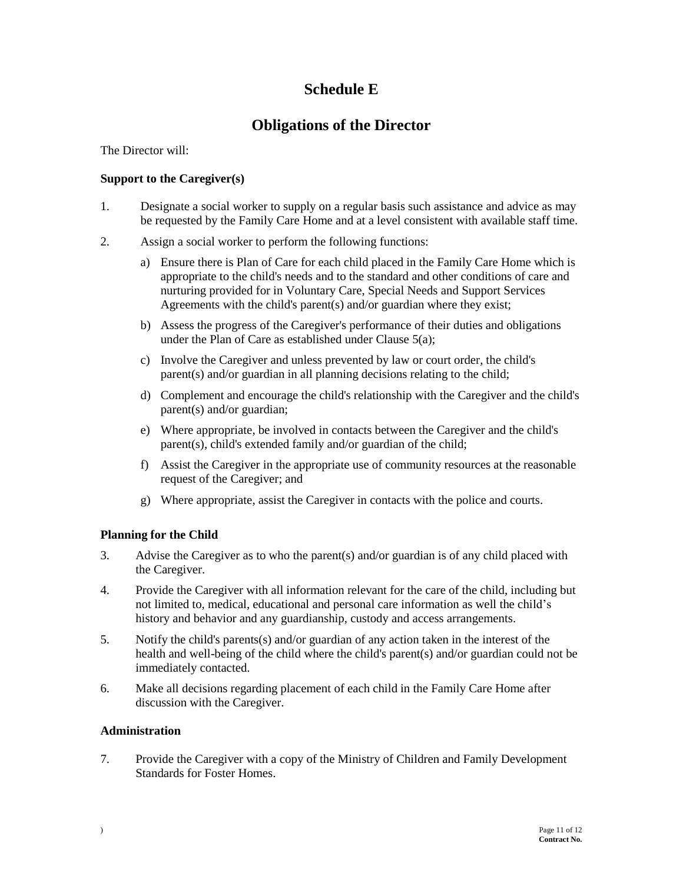# **Schedule E**

# **Obligations of the Director**

### The Director will:

### **Support to the Caregiver(s)**

- 1. Designate a social worker to supply on a regular basis such assistance and advice as may be requested by the Family Care Home and at a level consistent with available staff time.
- 2. Assign a social worker to perform the following functions:
	- a) Ensure there is Plan of Care for each child placed in the Family Care Home which is appropriate to the child's needs and to the standard and other conditions of care and nurturing provided for in Voluntary Care, Special Needs and Support Services Agreements with the child's parent(s) and/or guardian where they exist;
	- b) Assess the progress of the Caregiver's performance of their duties and obligations under the Plan of Care as established under Clause 5(a);
	- c) Involve the Caregiver and unless prevented by law or court order, the child's parent(s) and/or guardian in all planning decisions relating to the child;
	- d) Complement and encourage the child's relationship with the Caregiver and the child's parent(s) and/or guardian;
	- e) Where appropriate, be involved in contacts between the Caregiver and the child's parent(s), child's extended family and/or guardian of the child;
	- f) Assist the Caregiver in the appropriate use of community resources at the reasonable request of the Caregiver; and
	- g) Where appropriate, assist the Caregiver in contacts with the police and courts.

## **Planning for the Child**

- 3. Advise the Caregiver as to who the parent(s) and/or guardian is of any child placed with the Caregiver.
- 4. Provide the Caregiver with all information relevant for the care of the child, including but not limited to, medical, educational and personal care information as well the child's history and behavior and any guardianship, custody and access arrangements.
- 5. Notify the child's parents(s) and/or guardian of any action taken in the interest of the health and well-being of the child where the child's parent(s) and/or guardian could not be immediately contacted.
- 6. Make all decisions regarding placement of each child in the Family Care Home after discussion with the Caregiver.

#### **Administration**

7. Provide the Caregiver with a copy of the Ministry of Children and Family Development Standards for Foster Homes.